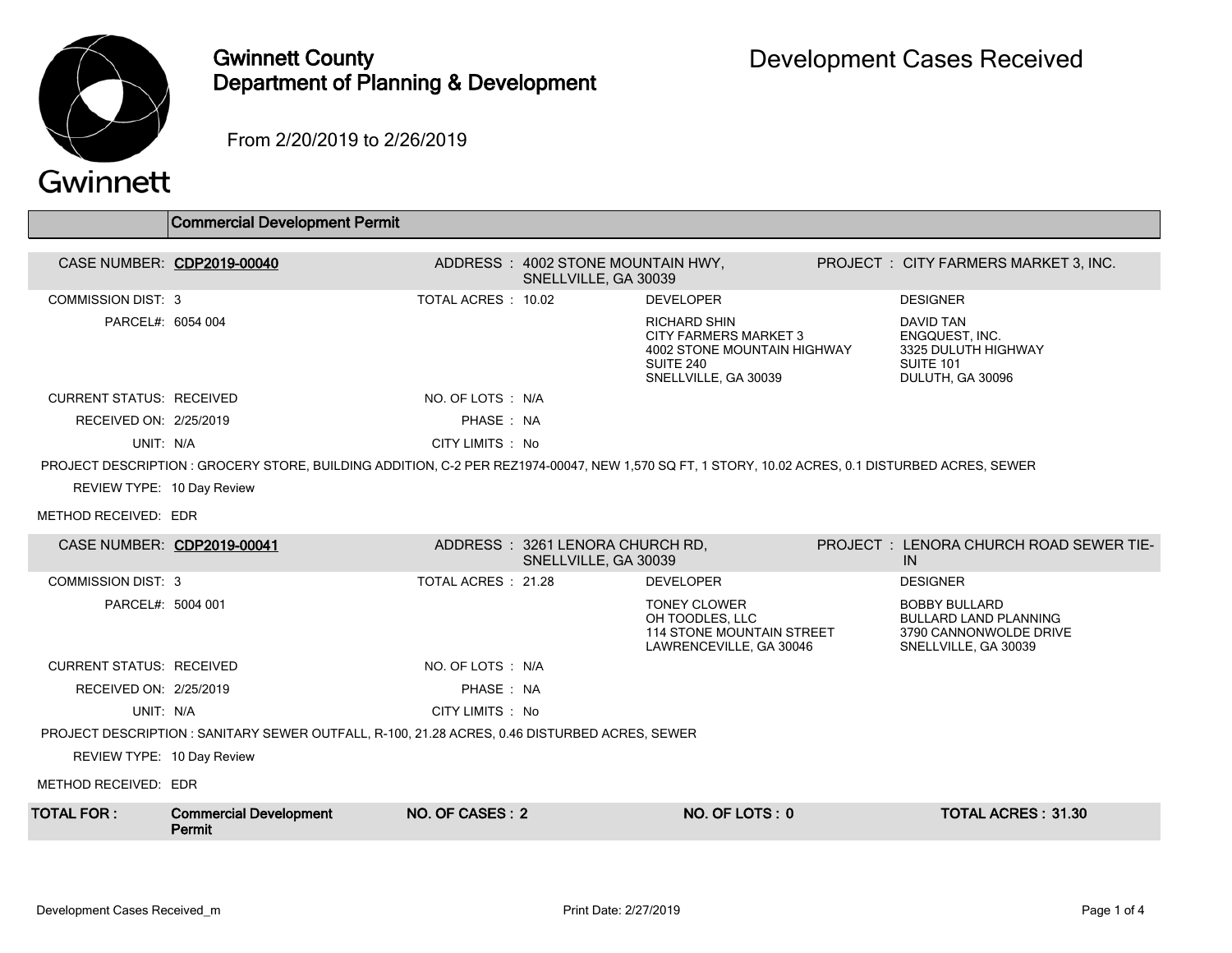

## Gwinnett County Department of Planning & Development

From 2/20/2019 to 2/26/2019

| Gwinnett |  |
|----------|--|
|          |  |

|                                                                                               | <b>Commercial Development Permit</b>                                                                                                            |                     |                                                         |                                                                                                                                |  |                                                                                                          |  |  |
|-----------------------------------------------------------------------------------------------|-------------------------------------------------------------------------------------------------------------------------------------------------|---------------------|---------------------------------------------------------|--------------------------------------------------------------------------------------------------------------------------------|--|----------------------------------------------------------------------------------------------------------|--|--|
| CASE NUMBER: CDP2019-00040                                                                    |                                                                                                                                                 |                     | ADDRESS: 4002 STONE MOUNTAIN HWY,                       |                                                                                                                                |  | PROJECT : CITY FARMERS MARKET 3, INC.                                                                    |  |  |
|                                                                                               |                                                                                                                                                 |                     | SNELLVILLE, GA 30039                                    |                                                                                                                                |  |                                                                                                          |  |  |
| COMMISSION DIST: 3                                                                            |                                                                                                                                                 | TOTAL ACRES: 10.02  |                                                         | <b>DEVELOPER</b>                                                                                                               |  | <b>DESIGNER</b>                                                                                          |  |  |
| PARCEL#: 6054 004                                                                             |                                                                                                                                                 |                     |                                                         | <b>RICHARD SHIN</b><br><b>CITY FARMERS MARKET 3</b><br><b>4002 STONE MOUNTAIN HIGHWAY</b><br>SUITE 240<br>SNELLVILLE, GA 30039 |  | <b>DAVID TAN</b><br><b>ENGQUEST. INC.</b><br>3325 DULUTH HIGHWAY<br><b>SUITE 101</b><br>DULUTH, GA 30096 |  |  |
| <b>CURRENT STATUS: RECEIVED</b>                                                               |                                                                                                                                                 | NO. OF LOTS : N/A   |                                                         |                                                                                                                                |  |                                                                                                          |  |  |
| RECEIVED ON: 2/25/2019                                                                        |                                                                                                                                                 | PHASE: NA           |                                                         |                                                                                                                                |  |                                                                                                          |  |  |
| UNIT: N/A                                                                                     |                                                                                                                                                 | CITY LIMITS : No    |                                                         |                                                                                                                                |  |                                                                                                          |  |  |
|                                                                                               | PROJECT DESCRIPTION: GROCERY STORE, BUILDING ADDITION, C-2 PER REZ1974-00047, NEW 1,570 SQ FT, 1 STORY, 10.02 ACRES, 0.1 DISTURBED ACRES, SEWER |                     |                                                         |                                                                                                                                |  |                                                                                                          |  |  |
| REVIEW TYPE: 10 Day Review                                                                    |                                                                                                                                                 |                     |                                                         |                                                                                                                                |  |                                                                                                          |  |  |
| METHOD RECEIVED: EDR                                                                          |                                                                                                                                                 |                     |                                                         |                                                                                                                                |  |                                                                                                          |  |  |
| CASE NUMBER: CDP2019-00041                                                                    |                                                                                                                                                 |                     | ADDRESS: 3261 LENORA CHURCH RD,<br>SNELLVILLE, GA 30039 |                                                                                                                                |  | PROJECT : LENORA CHURCH ROAD SEWER TIE-<br>IN.                                                           |  |  |
| <b>COMMISSION DIST: 3</b>                                                                     |                                                                                                                                                 | TOTAL ACRES : 21.28 |                                                         | <b>DEVELOPER</b>                                                                                                               |  | <b>DESIGNER</b>                                                                                          |  |  |
| PARCEL#: 5004 001                                                                             |                                                                                                                                                 |                     |                                                         | <b>TONEY CLOWER</b><br>OH TOODLES, LLC<br><b>114 STONE MOUNTAIN STREET</b><br>LAWRENCEVILLE, GA 30046                          |  | <b>BOBBY BULLARD</b><br><b>BULLARD LAND PLANNING</b><br>3790 CANNONWOLDE DRIVE<br>SNELLVILLE, GA 30039   |  |  |
| <b>CURRENT STATUS: RECEIVED</b>                                                               |                                                                                                                                                 | NO. OF LOTS: N/A    |                                                         |                                                                                                                                |  |                                                                                                          |  |  |
| RECEIVED ON: 2/25/2019                                                                        |                                                                                                                                                 | PHASE: NA           |                                                         |                                                                                                                                |  |                                                                                                          |  |  |
| UNIT: N/A                                                                                     |                                                                                                                                                 | CITY LIMITS : No    |                                                         |                                                                                                                                |  |                                                                                                          |  |  |
| PROJECT DESCRIPTION : SANITARY SEWER OUTFALL, R-100, 21.28 ACRES, 0.46 DISTURBED ACRES, SEWER |                                                                                                                                                 |                     |                                                         |                                                                                                                                |  |                                                                                                          |  |  |
| REVIEW TYPE: 10 Day Review                                                                    |                                                                                                                                                 |                     |                                                         |                                                                                                                                |  |                                                                                                          |  |  |
| METHOD RECEIVED: EDR                                                                          |                                                                                                                                                 |                     |                                                         |                                                                                                                                |  |                                                                                                          |  |  |
| <b>TOTAL FOR:</b>                                                                             | <b>Commercial Development</b><br>Permit                                                                                                         | NO. OF CASES: 2     |                                                         | NO. OF LOTS: 0                                                                                                                 |  | <b>TOTAL ACRES: 31.30</b>                                                                                |  |  |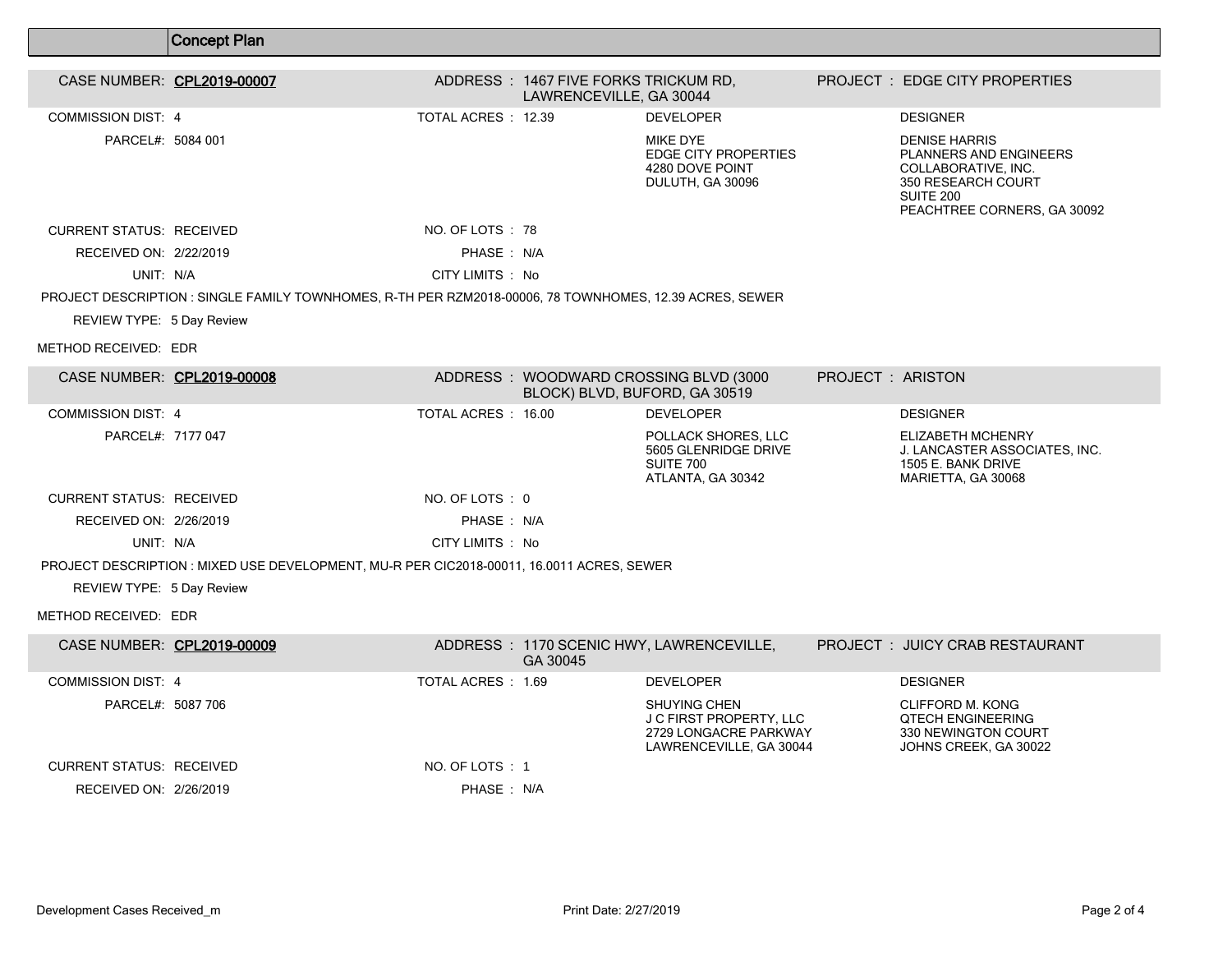|                                 | <b>Concept Plan</b>                                                                                     |                     |                                                                 |                                                                                                           |                         |                                                                                                                                         |
|---------------------------------|---------------------------------------------------------------------------------------------------------|---------------------|-----------------------------------------------------------------|-----------------------------------------------------------------------------------------------------------|-------------------------|-----------------------------------------------------------------------------------------------------------------------------------------|
|                                 |                                                                                                         |                     |                                                                 |                                                                                                           |                         |                                                                                                                                         |
| CASE NUMBER: CPL2019-00007      |                                                                                                         |                     | ADDRESS: 1467 FIVE FORKS TRICKUM RD,<br>LAWRENCEVILLE, GA 30044 |                                                                                                           |                         | PROJECT : EDGE CITY PROPERTIES                                                                                                          |
| <b>COMMISSION DIST: 4</b>       |                                                                                                         | TOTAL ACRES : 12.39 |                                                                 | <b>DEVELOPER</b>                                                                                          |                         | <b>DESIGNER</b>                                                                                                                         |
| PARCEL#: 5084 001               |                                                                                                         |                     |                                                                 | <b>MIKE DYE</b><br><b>EDGE CITY PROPERTIES</b><br>4280 DOVE POINT<br>DULUTH, GA 30096                     |                         | <b>DENISE HARRIS</b><br>PLANNERS AND ENGINEERS<br>COLLABORATIVE, INC.<br>350 RESEARCH COURT<br>SUITE 200<br>PEACHTREE CORNERS, GA 30092 |
| <b>CURRENT STATUS: RECEIVED</b> |                                                                                                         | NO. OF LOTS: 78     |                                                                 |                                                                                                           |                         |                                                                                                                                         |
| RECEIVED ON: 2/22/2019          |                                                                                                         | PHASE: N/A          |                                                                 |                                                                                                           |                         |                                                                                                                                         |
| UNIT: N/A                       |                                                                                                         | CITY LIMITS : No    |                                                                 |                                                                                                           |                         |                                                                                                                                         |
|                                 | PROJECT DESCRIPTION : SINGLE FAMILY TOWNHOMES, R-TH PER RZM2018-00006, 78 TOWNHOMES, 12.39 ACRES, SEWER |                     |                                                                 |                                                                                                           |                         |                                                                                                                                         |
| REVIEW TYPE: 5 Day Review       |                                                                                                         |                     |                                                                 |                                                                                                           |                         |                                                                                                                                         |
| METHOD RECEIVED: EDR            |                                                                                                         |                     |                                                                 |                                                                                                           |                         |                                                                                                                                         |
| CASE NUMBER: CPL2019-00008      |                                                                                                         |                     | BLOCK) BLVD, BUFORD, GA 30519                                   | ADDRESS : WOODWARD CROSSING BLVD (3000                                                                    | <b>PROJECT: ARISTON</b> |                                                                                                                                         |
| <b>COMMISSION DIST: 4</b>       |                                                                                                         | TOTAL ACRES: 16.00  |                                                                 | <b>DEVELOPER</b>                                                                                          |                         | <b>DESIGNER</b>                                                                                                                         |
| PARCEL#: 7177 047               |                                                                                                         |                     |                                                                 | POLLACK SHORES, LLC<br>5605 GLENRIDGE DRIVE<br><b>SUITE 700</b><br>ATLANTA, GA 30342                      |                         | ELIZABETH MCHENRY<br>J. LANCASTER ASSOCIATES, INC.<br>1505 E. BANK DRIVE<br>MARIETTA, GA 30068                                          |
| <b>CURRENT STATUS: RECEIVED</b> |                                                                                                         | NO. OF LOTS: 0      |                                                                 |                                                                                                           |                         |                                                                                                                                         |
| RECEIVED ON: 2/26/2019          |                                                                                                         | PHASE: N/A          |                                                                 |                                                                                                           |                         |                                                                                                                                         |
| UNIT: N/A                       |                                                                                                         | CITY LIMITS : No    |                                                                 |                                                                                                           |                         |                                                                                                                                         |
|                                 | PROJECT DESCRIPTION : MIXED USE DEVELOPMENT, MU-R PER CIC2018-00011, 16.0011 ACRES, SEWER               |                     |                                                                 |                                                                                                           |                         |                                                                                                                                         |
| REVIEW TYPE: 5 Day Review       |                                                                                                         |                     |                                                                 |                                                                                                           |                         |                                                                                                                                         |
| METHOD RECEIVED: EDR            |                                                                                                         |                     |                                                                 |                                                                                                           |                         |                                                                                                                                         |
| CASE NUMBER: CPL2019-00009      |                                                                                                         |                     | GA 30045                                                        | ADDRESS: 1170 SCENIC HWY, LAWRENCEVILLE,                                                                  |                         | PROJECT: JUICY CRAB RESTAURANT                                                                                                          |
| COMMISSION DIST: 4              |                                                                                                         | TOTAL ACRES: 1.69   |                                                                 | <b>DEVELOPER</b>                                                                                          |                         | <b>DESIGNER</b>                                                                                                                         |
| PARCEL#: 5087 706               |                                                                                                         |                     |                                                                 | <b>SHUYING CHEN</b><br><b>J C FIRST PROPERTY, LLC</b><br>2729 LONGACRE PARKWAY<br>LAWRENCEVILLE, GA 30044 |                         | <b>CLIFFORD M. KONG</b><br><b>QTECH ENGINEERING</b><br>330 NEWINGTON COURT<br>JOHNS CREEK, GA 30022                                     |
| <b>CURRENT STATUS: RECEIVED</b> |                                                                                                         | NO. OF LOTS : 1     |                                                                 |                                                                                                           |                         |                                                                                                                                         |
| RECEIVED ON: 2/26/2019          |                                                                                                         | PHASE: N/A          |                                                                 |                                                                                                           |                         |                                                                                                                                         |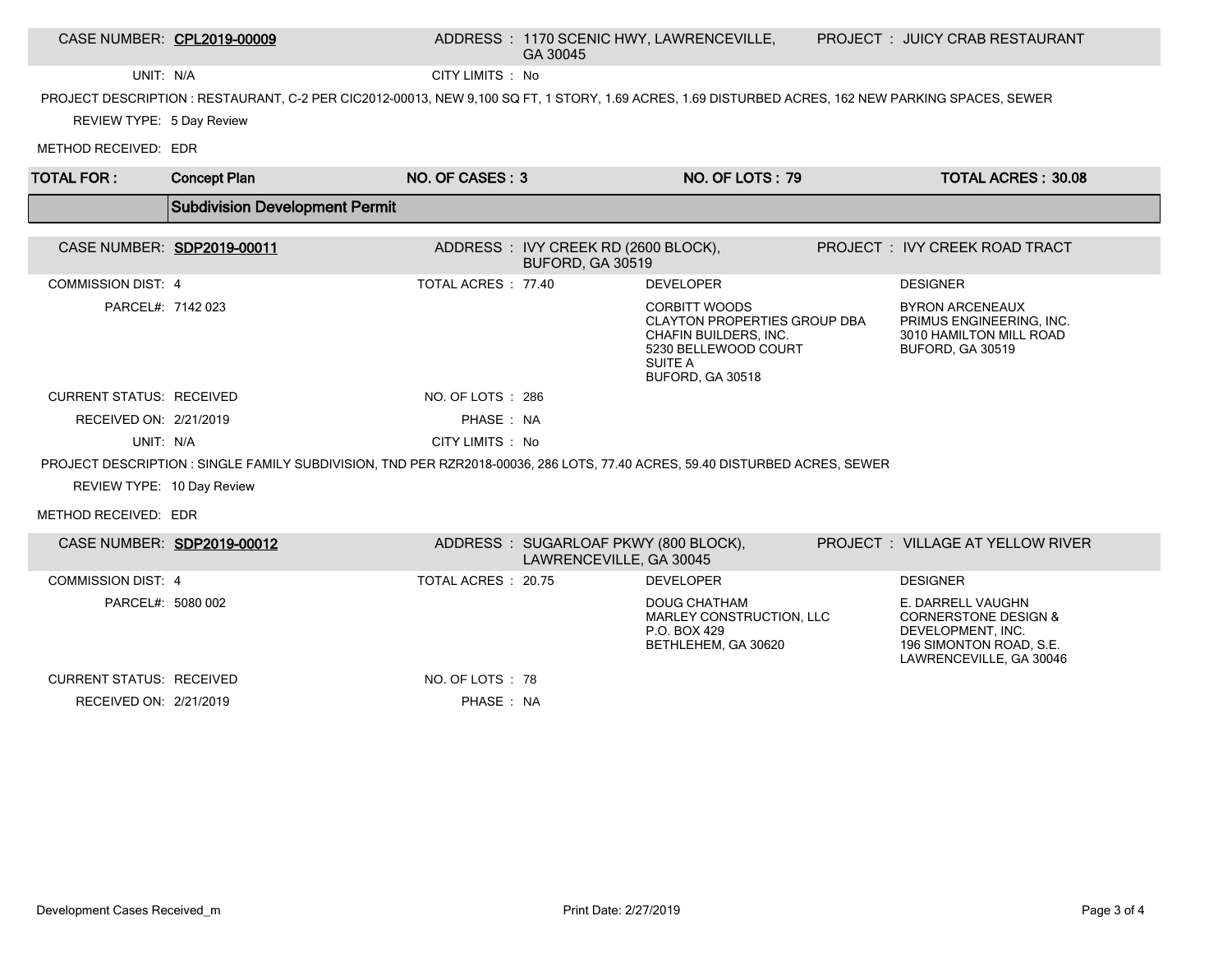|                                 | CASE NUMBER: CPL2019-00009                                                                                                                        |                    | GA 30045                                                        | ADDRESS: 1170 SCENIC HWY, LAWRENCEVILLE,                                                                                                    | PROJECT: JUICY CRAB RESTAURANT                                                                                                  |
|---------------------------------|---------------------------------------------------------------------------------------------------------------------------------------------------|--------------------|-----------------------------------------------------------------|---------------------------------------------------------------------------------------------------------------------------------------------|---------------------------------------------------------------------------------------------------------------------------------|
| UNIT: N/A                       |                                                                                                                                                   | CITY LIMITS : No   |                                                                 |                                                                                                                                             |                                                                                                                                 |
|                                 | PROJECT DESCRIPTION: RESTAURANT, C-2 PER CIC2012-00013, NEW 9,100 SQ FT, 1 STORY, 1.69 ACRES, 1.69 DISTURBED ACRES, 162 NEW PARKING SPACES, SEWER |                    |                                                                 |                                                                                                                                             |                                                                                                                                 |
| REVIEW TYPE: 5 Day Review       |                                                                                                                                                   |                    |                                                                 |                                                                                                                                             |                                                                                                                                 |
| METHOD RECEIVED: EDR            |                                                                                                                                                   |                    |                                                                 |                                                                                                                                             |                                                                                                                                 |
| <b>TOTAL FOR:</b>               | <b>Concept Plan</b>                                                                                                                               | NO. OF CASES: 3    |                                                                 | NO. OF LOTS: 79                                                                                                                             | <b>TOTAL ACRES: 30.08</b>                                                                                                       |
|                                 | <b>Subdivision Development Permit</b>                                                                                                             |                    |                                                                 |                                                                                                                                             |                                                                                                                                 |
|                                 | CASE NUMBER: SDP2019-00011                                                                                                                        |                    | ADDRESS : IVY CREEK RD (2600 BLOCK),<br>BUFORD, GA 30519        |                                                                                                                                             | PROJECT : IVY CREEK ROAD TRACT                                                                                                  |
| <b>COMMISSION DIST: 4</b>       |                                                                                                                                                   | TOTAL ACRES: 77.40 |                                                                 | <b>DEVELOPER</b>                                                                                                                            | <b>DESIGNER</b>                                                                                                                 |
| PARCEL#: 7142 023               |                                                                                                                                                   |                    |                                                                 | <b>CORBITT WOODS</b><br><b>CLAYTON PROPERTIES GROUP DBA</b><br>CHAFIN BUILDERS. INC.<br>5230 BELLEWOOD COURT<br>SUITE A<br>BUFORD, GA 30518 | <b>BYRON ARCENEAUX</b><br>PRIMUS ENGINEERING. INC.<br>3010 HAMILTON MILL ROAD<br><b>BUFORD, GA 30519</b>                        |
| <b>CURRENT STATUS: RECEIVED</b> |                                                                                                                                                   | NO. OF LOTS : 286  |                                                                 |                                                                                                                                             |                                                                                                                                 |
| RECEIVED ON: 2/21/2019          |                                                                                                                                                   | PHASE: NA          |                                                                 |                                                                                                                                             |                                                                                                                                 |
| UNIT: N/A                       |                                                                                                                                                   | CITY LIMITS : No   |                                                                 |                                                                                                                                             |                                                                                                                                 |
| REVIEW TYPE: 10 Day Review      | PROJECT DESCRIPTION: SINGLE FAMILY SUBDIVISION, TND PER RZR2018-00036, 286 LOTS, 77.40 ACRES, 59.40 DISTURBED ACRES, SEWER                        |                    |                                                                 |                                                                                                                                             |                                                                                                                                 |
| METHOD RECEIVED: EDR            |                                                                                                                                                   |                    |                                                                 |                                                                                                                                             |                                                                                                                                 |
|                                 | CASE NUMBER: SDP2019-00012                                                                                                                        |                    | ADDRESS: SUGARLOAF PKWY (800 BLOCK),<br>LAWRENCEVILLE, GA 30045 |                                                                                                                                             | PROJECT : VILLAGE AT YELLOW RIVER                                                                                               |
| COMMISSION DIST 4               |                                                                                                                                                   | TOTAL ACRES: 20.75 |                                                                 | <b>DEVELOPER</b>                                                                                                                            | <b>DESIGNER</b>                                                                                                                 |
| PARCEL#: 5080 002               |                                                                                                                                                   |                    |                                                                 | <b>DOUG CHATHAM</b><br>MARLEY CONSTRUCTION, LLC<br>P.O. BOX 429<br>BETHLEHEM, GA 30620                                                      | E. DARRELL VAUGHN<br><b>CORNERSTONE DESIGN &amp;</b><br>DEVELOPMENT, INC.<br>196 SIMONTON ROAD, S.E.<br>LAWRENCEVILLE, GA 30046 |
| <b>CURRENT STATUS: RECEIVED</b> |                                                                                                                                                   | NO. OF LOTS : 78   |                                                                 |                                                                                                                                             |                                                                                                                                 |
| RECEIVED ON: 2/21/2019          |                                                                                                                                                   | PHASE: NA          |                                                                 |                                                                                                                                             |                                                                                                                                 |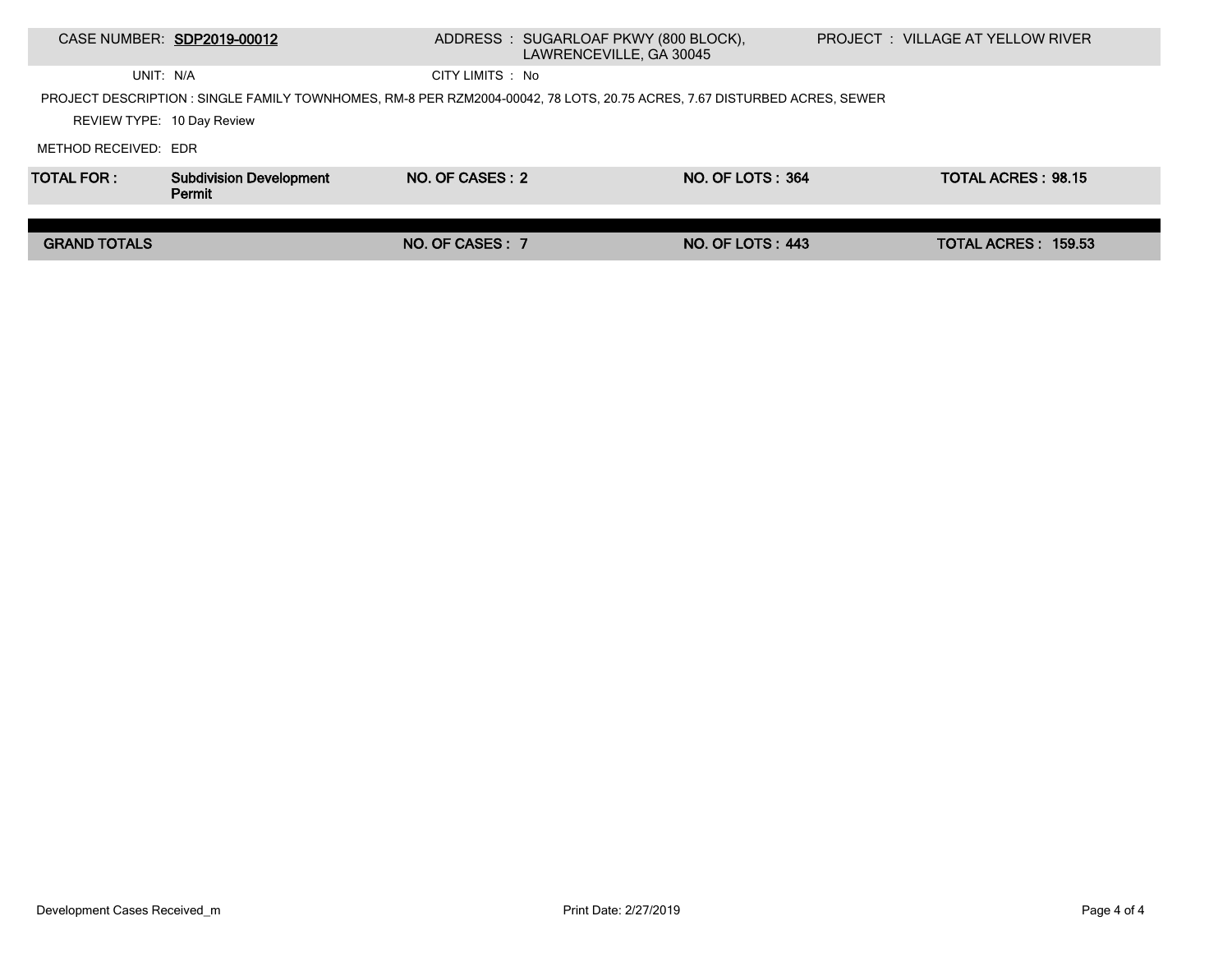|                            | CASE NUMBER: SDP2019-00012                                                                                               |                  | ADDRESS: SUGARLOAF PKWY (800 BLOCK),<br>LAWRENCEVILLE, GA 30045 |                         | <b>PROJECT : VILLAGE AT YELLOW RIVER</b> |                           |  |
|----------------------------|--------------------------------------------------------------------------------------------------------------------------|------------------|-----------------------------------------------------------------|-------------------------|------------------------------------------|---------------------------|--|
| UNIT: N/A                  |                                                                                                                          | CITY LIMITS : No |                                                                 |                         |                                          |                           |  |
|                            | PROJECT DESCRIPTION : SINGLE FAMILY TOWNHOMES, RM-8 PER RZM2004-00042, 78 LOTS, 20.75 ACRES, 7.67 DISTURBED ACRES, SEWER |                  |                                                                 |                         |                                          |                           |  |
| REVIEW TYPE: 10 Day Review |                                                                                                                          |                  |                                                                 |                         |                                          |                           |  |
| METHOD RECEIVED: EDR       |                                                                                                                          |                  |                                                                 |                         |                                          |                           |  |
| <b>TOTAL FOR:</b>          | <b>Subdivision Development</b><br>Permit                                                                                 | NO. OF CASES: 2  |                                                                 | NO. OF LOTS: 364        |                                          | <b>TOTAL ACRES: 98.15</b> |  |
|                            |                                                                                                                          |                  |                                                                 |                         |                                          |                           |  |
| <b>GRAND TOTALS</b>        |                                                                                                                          | NO. OF CASES: 7  |                                                                 | <b>NO. OF LOTS: 443</b> |                                          | TOTAL ACRES: 159.53       |  |